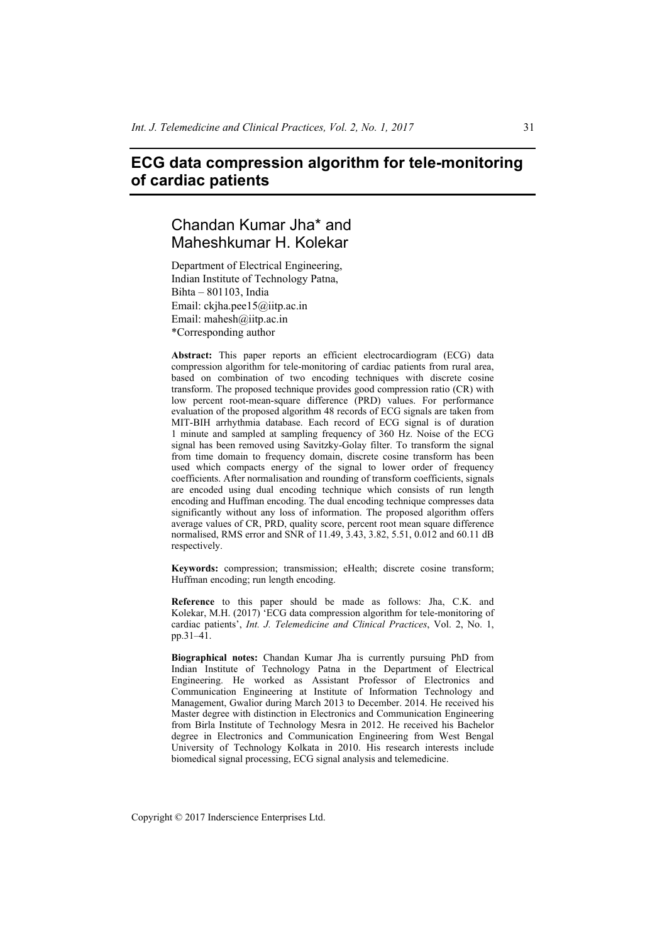# **ECG data compression algorithm for tele-monitoring of cardiac patients**

# Chandan Kumar Jha\* and Maheshkumar H. Kolekar

Department of Electrical Engineering, Indian Institute of Technology Patna, Bihta – 801103, India Email: ckjha.pee15@iitp.ac.in Email: mahesh@iitp.ac.in \*Corresponding author

**Abstract:** This paper reports an efficient electrocardiogram (ECG) data compression algorithm for tele-monitoring of cardiac patients from rural area, based on combination of two encoding techniques with discrete cosine transform. The proposed technique provides good compression ratio (CR) with low percent root-mean-square difference (PRD) values. For performance evaluation of the proposed algorithm 48 records of ECG signals are taken from MIT-BIH arrhythmia database. Each record of ECG signal is of duration 1 minute and sampled at sampling frequency of 360 Hz. Noise of the ECG signal has been removed using Savitzky-Golay filter. To transform the signal from time domain to frequency domain, discrete cosine transform has been used which compacts energy of the signal to lower order of frequency coefficients. After normalisation and rounding of transform coefficients, signals are encoded using dual encoding technique which consists of run length encoding and Huffman encoding. The dual encoding technique compresses data significantly without any loss of information. The proposed algorithm offers average values of CR, PRD, quality score, percent root mean square difference normalised, RMS error and SNR of 11.49, 3.43, 3.82, 5.51, 0.012 and 60.11 dB respectively.

**Keywords:** compression; transmission; eHealth; discrete cosine transform; Huffman encoding; run length encoding.

**Reference** to this paper should be made as follows: Jha, C.K. and Kolekar, M.H. (2017) 'ECG data compression algorithm for tele-monitoring of cardiac patients', *Int. J. Telemedicine and Clinical Practices*, Vol. 2, No. 1, pp.31–41.

**Biographical notes:** Chandan Kumar Jha is currently pursuing PhD from Indian Institute of Technology Patna in the Department of Electrical Engineering. He worked as Assistant Professor of Electronics and Communication Engineering at Institute of Information Technology and Management, Gwalior during March 2013 to December. 2014. He received his Master degree with distinction in Electronics and Communication Engineering from Birla Institute of Technology Mesra in 2012. He received his Bachelor degree in Electronics and Communication Engineering from West Bengal University of Technology Kolkata in 2010. His research interests include biomedical signal processing, ECG signal analysis and telemedicine.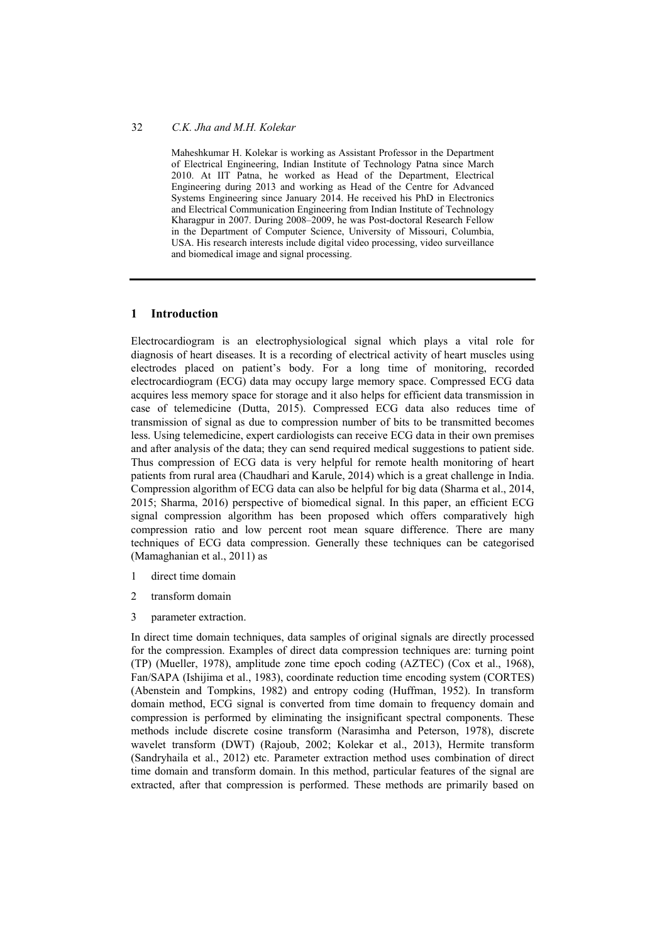Maheshkumar H. Kolekar is working as Assistant Professor in the Department of Electrical Engineering, Indian Institute of Technology Patna since March 2010. At IIT Patna, he worked as Head of the Department, Electrical Engineering during 2013 and working as Head of the Centre for Advanced Systems Engineering since January 2014. He received his PhD in Electronics and Electrical Communication Engineering from Indian Institute of Technology Kharagpur in 2007. During 2008–2009, he was Post-doctoral Research Fellow in the Department of Computer Science, University of Missouri, Columbia, USA. His research interests include digital video processing, video surveillance and biomedical image and signal processing.

#### **1 Introduction**

Electrocardiogram is an electrophysiological signal which plays a vital role for diagnosis of heart diseases. It is a recording of electrical activity of heart muscles using electrodes placed on patient's body. For a long time of monitoring, recorded electrocardiogram (ECG) data may occupy large memory space. Compressed ECG data acquires less memory space for storage and it also helps for efficient data transmission in case of telemedicine (Dutta, 2015). Compressed ECG data also reduces time of transmission of signal as due to compression number of bits to be transmitted becomes less. Using telemedicine, expert cardiologists can receive ECG data in their own premises and after analysis of the data; they can send required medical suggestions to patient side. Thus compression of ECG data is very helpful for remote health monitoring of heart patients from rural area (Chaudhari and Karule, 2014) which is a great challenge in India. Compression algorithm of ECG data can also be helpful for big data (Sharma et al., 2014, 2015; Sharma, 2016) perspective of biomedical signal. In this paper, an efficient ECG signal compression algorithm has been proposed which offers comparatively high compression ratio and low percent root mean square difference. There are many techniques of ECG data compression. Generally these techniques can be categorised (Mamaghanian et al., 2011) as

- 1 direct time domain
- 2 transform domain
- 3 parameter extraction.

In direct time domain techniques, data samples of original signals are directly processed for the compression. Examples of direct data compression techniques are: turning point (TP) (Mueller, 1978), amplitude zone time epoch coding (AZTEC) (Cox et al., 1968), Fan/SAPA (Ishijima et al., 1983), coordinate reduction time encoding system (CORTES) (Abenstein and Tompkins, 1982) and entropy coding (Huffman, 1952). In transform domain method, ECG signal is converted from time domain to frequency domain and compression is performed by eliminating the insignificant spectral components. These methods include discrete cosine transform (Narasimha and Peterson, 1978), discrete wavelet transform (DWT) (Rajoub, 2002; Kolekar et al., 2013), Hermite transform (Sandryhaila et al., 2012) etc. Parameter extraction method uses combination of direct time domain and transform domain. In this method, particular features of the signal are extracted, after that compression is performed. These methods are primarily based on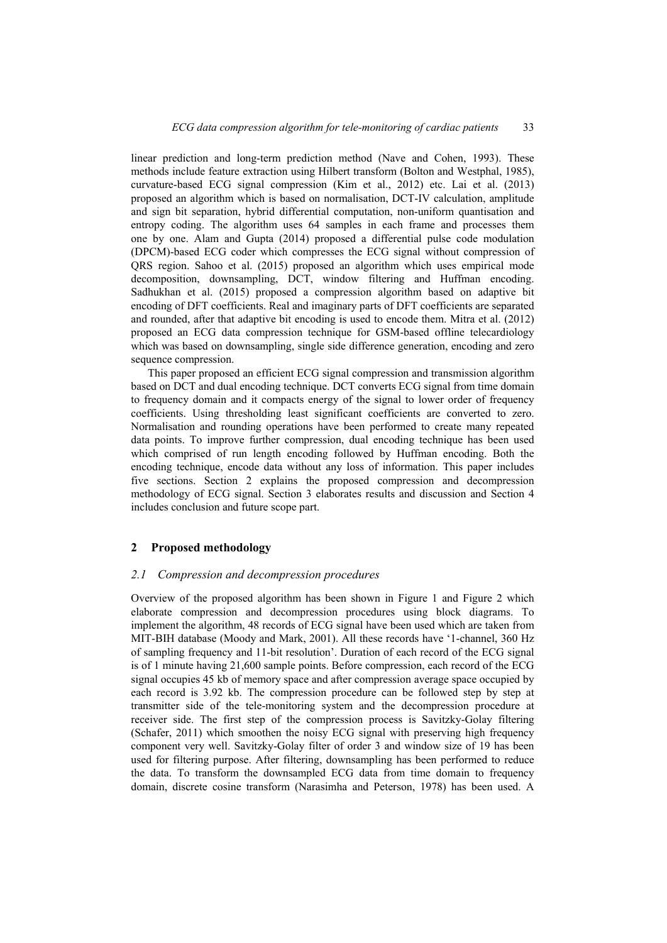linear prediction and long-term prediction method (Nave and Cohen, 1993). These methods include feature extraction using Hilbert transform (Bolton and Westphal, 1985), curvature-based ECG signal compression (Kim et al., 2012) etc. Lai et al. (2013) proposed an algorithm which is based on normalisation, DCT-IV calculation, amplitude and sign bit separation, hybrid differential computation, non-uniform quantisation and entropy coding. The algorithm uses 64 samples in each frame and processes them one by one. Alam and Gupta (2014) proposed a differential pulse code modulation (DPCM)-based ECG coder which compresses the ECG signal without compression of QRS region. Sahoo et al. (2015) proposed an algorithm which uses empirical mode decomposition, downsampling, DCT, window filtering and Huffman encoding. Sadhukhan et al. (2015) proposed a compression algorithm based on adaptive bit encoding of DFT coefficients. Real and imaginary parts of DFT coefficients are separated and rounded, after that adaptive bit encoding is used to encode them. Mitra et al. (2012) proposed an ECG data compression technique for GSM-based offline telecardiology which was based on downsampling, single side difference generation, encoding and zero sequence compression.

This paper proposed an efficient ECG signal compression and transmission algorithm based on DCT and dual encoding technique. DCT converts ECG signal from time domain to frequency domain and it compacts energy of the signal to lower order of frequency coefficients. Using thresholding least significant coefficients are converted to zero. Normalisation and rounding operations have been performed to create many repeated data points. To improve further compression, dual encoding technique has been used which comprised of run length encoding followed by Huffman encoding. Both the encoding technique, encode data without any loss of information. This paper includes five sections. Section 2 explains the proposed compression and decompression methodology of ECG signal. Section 3 elaborates results and discussion and Section 4 includes conclusion and future scope part.

## **2 Proposed methodology**

#### *2.1 Compression and decompression procedures*

Overview of the proposed algorithm has been shown in Figure 1 and Figure 2 which elaborate compression and decompression procedures using block diagrams. To implement the algorithm, 48 records of ECG signal have been used which are taken from MIT-BIH database (Moody and Mark, 2001). All these records have '1-channel, 360 Hz of sampling frequency and 11-bit resolution'. Duration of each record of the ECG signal is of 1 minute having 21,600 sample points. Before compression, each record of the ECG signal occupies 45 kb of memory space and after compression average space occupied by each record is 3.92 kb. The compression procedure can be followed step by step at transmitter side of the tele-monitoring system and the decompression procedure at receiver side. The first step of the compression process is Savitzky-Golay filtering (Schafer, 2011) which smoothen the noisy ECG signal with preserving high frequency component very well. Savitzky-Golay filter of order 3 and window size of 19 has been used for filtering purpose. After filtering, downsampling has been performed to reduce the data. To transform the downsampled ECG data from time domain to frequency domain, discrete cosine transform (Narasimha and Peterson, 1978) has been used. A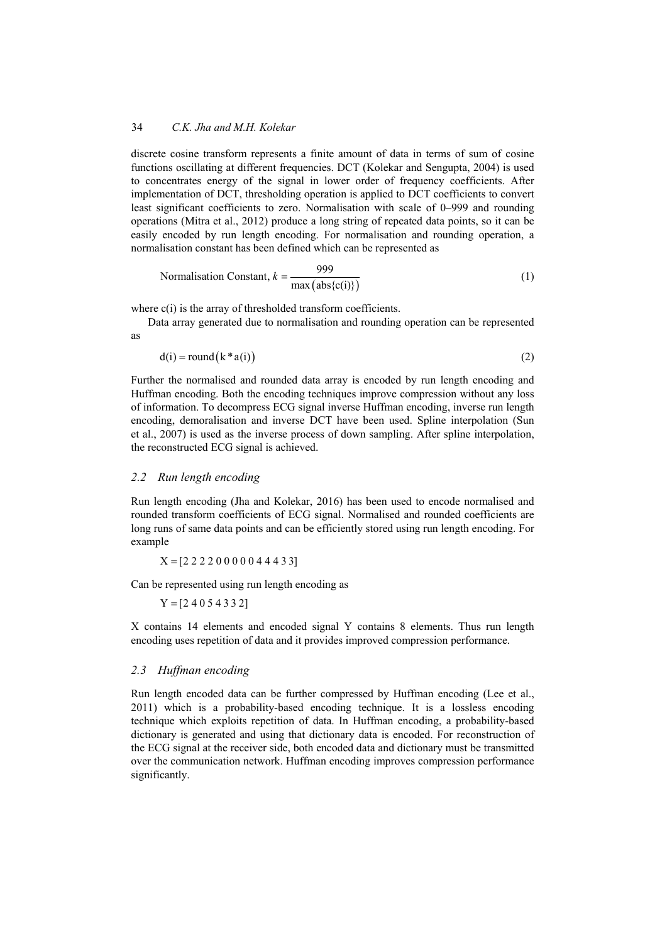discrete cosine transform represents a finite amount of data in terms of sum of cosine functions oscillating at different frequencies. DCT (Kolekar and Sengupta, 2004) is used to concentrates energy of the signal in lower order of frequency coefficients. After implementation of DCT, thresholding operation is applied to DCT coefficients to convert least significant coefficients to zero. Normalisation with scale of 0–999 and rounding operations (Mitra et al., 2012) produce a long string of repeated data points, so it can be easily encoded by run length encoding. For normalisation and rounding operation, a normalisation constant has been defined which can be represented as

Normalisation Constant, 
$$
k = \frac{999}{\max(\text{abs}\{c(i)\})}
$$
 (1)

where c(i) is the array of thresholded transform coefficients.

Data array generated due to normalisation and rounding operation can be represented as

$$
d(i) = round(k * a(i))
$$
\n(2)

Further the normalised and rounded data array is encoded by run length encoding and Huffman encoding. Both the encoding techniques improve compression without any loss of information. To decompress ECG signal inverse Huffman encoding, inverse run length encoding, demoralisation and inverse DCT have been used. Spline interpolation (Sun et al., 2007) is used as the inverse process of down sampling. After spline interpolation, the reconstructed ECG signal is achieved.

#### *2.2 Run length encoding*

Run length encoding (Jha and Kolekar, 2016) has been used to encode normalised and rounded transform coefficients of ECG signal. Normalised and rounded coefficients are long runs of same data points and can be efficiently stored using run length encoding. For example

 $X = [2 2 2 2 0 0 0 0 0 4 4 4 3 3]$ 

Can be represented using run length encoding as

 $Y = [2 4 0 5 4 3 3 2]$ 

X contains 14 elements and encoded signal Y contains 8 elements. Thus run length encoding uses repetition of data and it provides improved compression performance.

### *2.3 Huffman encoding*

Run length encoded data can be further compressed by Huffman encoding (Lee et al., 2011) which is a probability-based encoding technique. It is a lossless encoding technique which exploits repetition of data. In Huffman encoding, a probability-based dictionary is generated and using that dictionary data is encoded. For reconstruction of the ECG signal at the receiver side, both encoded data and dictionary must be transmitted over the communication network. Huffman encoding improves compression performance significantly.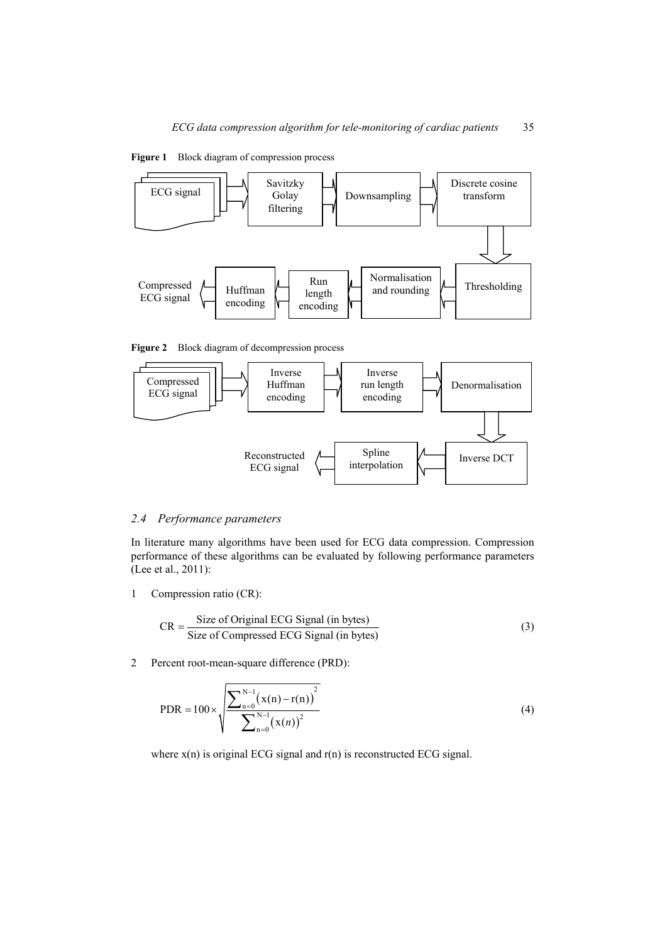

**Figure 1** Block diagram of compression process

**Figure 2** Block diagram of decompression process



#### *2.4 Performance parameters*

In literature many algorithms have been used for ECG data compression. Compression performance of these algorithms can be evaluated by following performance parameters (Lee et al., 2011):

1 Compression ratio (CR):

$$
CR = \frac{Size \text{ of Original ECG Signal (in bytes)}}{Size \text{ of Compressed ECG Signal (in bytes)}}
$$
(3)

2 Percent root-mean-square difference (PRD):

PDR = 
$$
100 \times \sqrt{\frac{\sum_{n=0}^{N-1} (x(n) - r(n))^2}{\sum_{n=0}^{N-1} (x(n))^2}}
$$
 (4)

where  $x(n)$  is original ECG signal and  $r(n)$  is reconstructed ECG signal.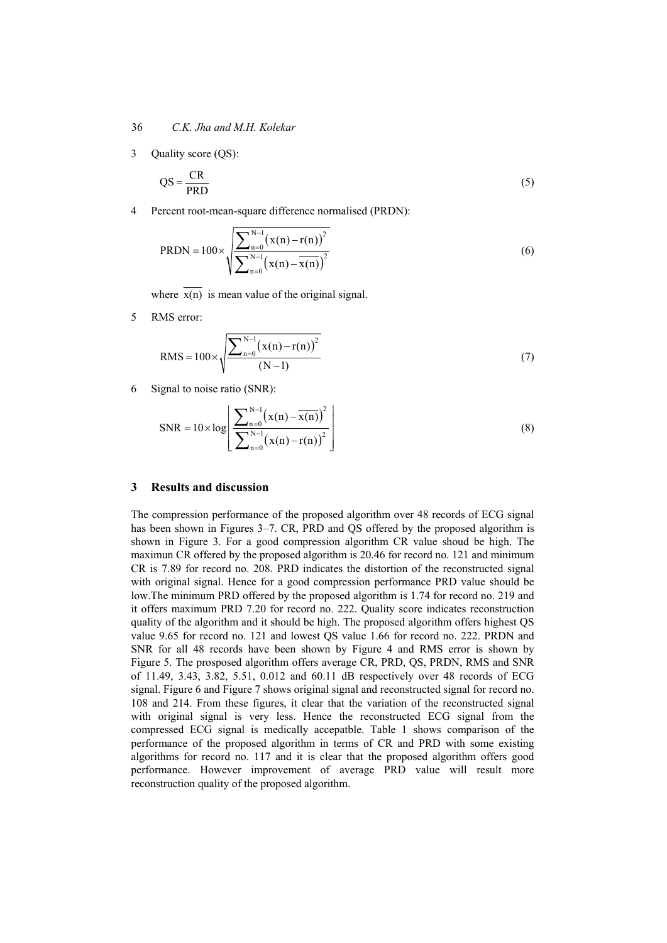3 Quality score (QS):

$$
QS = \frac{CR}{PRD}
$$
 (5)

4 Percent root-mean-square difference normalised (PRDN):

$$
PRDN = 100 \times \sqrt{\frac{\sum_{n=0}^{N-1} (x(n) - r(n))^2}{\sum_{n=0}^{N-1} (x(n) - \overline{x(n)})^2}}
$$
(6)

where  $\overline{x(n)}$  is mean value of the original signal.

5 RMS error:

RMS = 
$$
100 \times \sqrt{\frac{\sum_{n=0}^{N-1} (x(n) - r(n))^2}{(N-1)}}
$$
 (7)

6 Signal to noise ratio (SNR):

$$
SNR = 10 \times \log \left[ \frac{\sum_{n=0}^{N-1} (x(n) - \overline{x(n)})^2}{\sum_{n=0}^{N-1} (x(n) - r(n))^2} \right]
$$
(8)

#### **3 Results and discussion**

The compression performance of the proposed algorithm over 48 records of ECG signal has been shown in Figures 3–7. CR, PRD and QS offered by the proposed algorithm is shown in Figure 3. For a good compression algorithm CR value shoud be high. The maximun CR offered by the proposed algorithm is 20.46 for record no. 121 and minimum CR is 7.89 for record no. 208. PRD indicates the distortion of the reconstructed signal with original signal. Hence for a good compression performance PRD value should be low.The minimum PRD offered by the proposed algorithm is 1.74 for record no. 219 and it offers maximum PRD 7.20 for record no. 222. Quality score indicates reconstruction quality of the algorithm and it should be high. The proposed algorithm offers highest QS value 9.65 for record no. 121 and lowest QS value 1.66 for record no. 222. PRDN and SNR for all 48 records have been shown by Figure 4 and RMS error is shown by Figure 5. The prosposed algorithm offers average CR, PRD, QS, PRDN, RMS and SNR of 11.49, 3.43, 3.82, 5.51, 0.012 and 60.11 dB respectively over 48 records of ECG signal. Figure 6 and Figure 7 shows original signal and reconstructed signal for record no. 108 and 214. From these figures, it clear that the variation of the reconstructed signal with original signal is very less. Hence the reconstructed ECG signal from the compressed ECG signal is medically accepatble. Table 1 shows comparison of the performance of the proposed algorithm in terms of CR and PRD with some existing algorithms for record no. 117 and it is clear that the proposed algorithm offers good performance. However improvement of average PRD value will result more reconstruction quality of the proposed algorithm.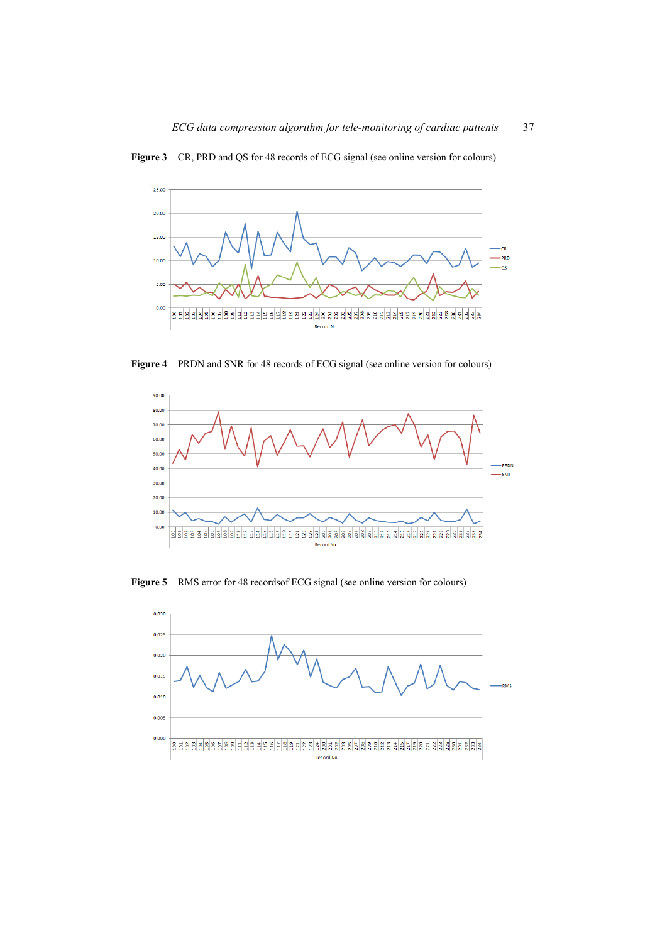



**Figure 4** PRDN and SNR for 48 records of ECG signal (see online version for colours)



**Figure 5** RMS error for 48 recordsof ECG signal (see online version for colours)

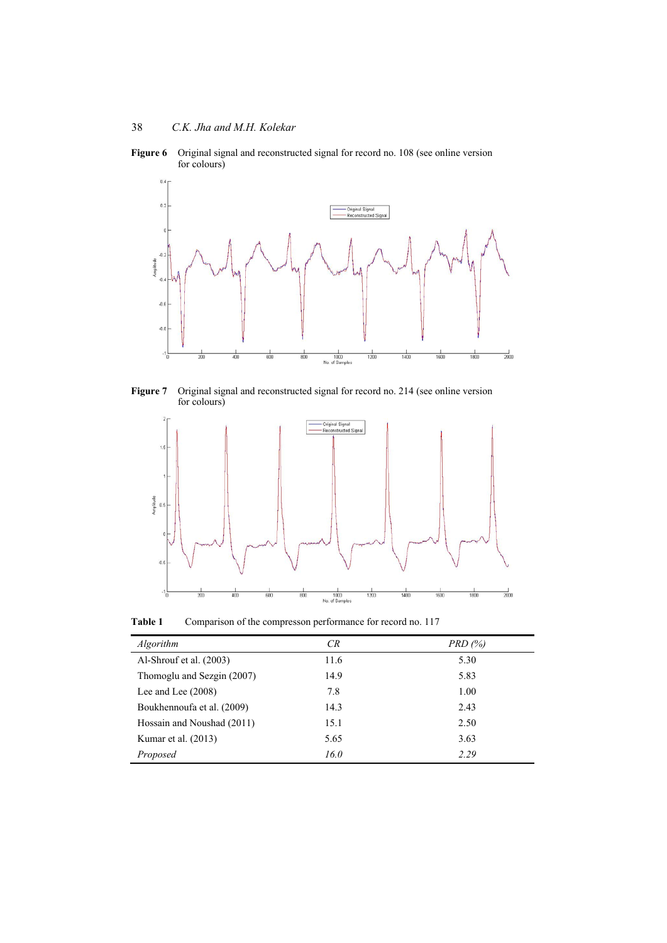

**Figure 6** Original signal and reconstructed signal for record no. 108 (see online version for colours)

**Figure 7** Original signal and reconstructed signal for record no. 214 (see online version for colours)



Table 1 Comparison of the compresson performance for record no. 117

| Algorithm                  | CR   | PRD(%) |
|----------------------------|------|--------|
| Al-Shrouf et al. (2003)    | 11.6 | 5.30   |
| Thomoglu and Sezgin (2007) | 14.9 | 5.83   |
| Lee and Lee $(2008)$       | 7.8  | 1.00   |
| Boukhennoufa et al. (2009) | 14.3 | 2.43   |
| Hossain and Noushad (2011) | 15.1 | 2.50   |
| Kumar et al. (2013)        | 5.65 | 3.63   |
| Proposed                   | 16.0 | 2.29   |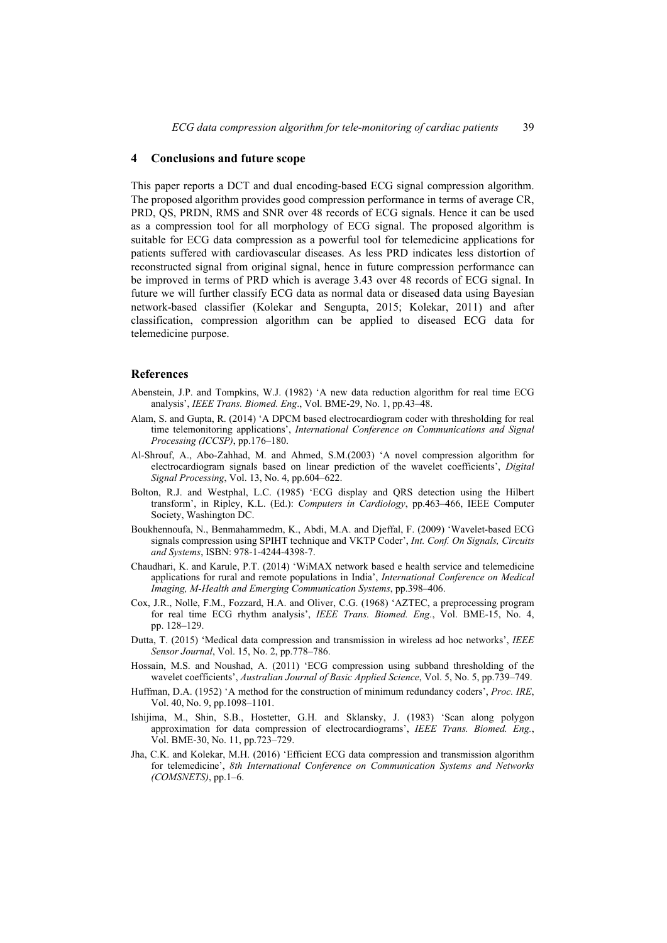## **4 Conclusions and future scope**

This paper reports a DCT and dual encoding-based ECG signal compression algorithm. The proposed algorithm provides good compression performance in terms of average CR, PRD, QS, PRDN, RMS and SNR over 48 records of ECG signals. Hence it can be used as a compression tool for all morphology of ECG signal. The proposed algorithm is suitable for ECG data compression as a powerful tool for telemedicine applications for patients suffered with cardiovascular diseases. As less PRD indicates less distortion of reconstructed signal from original signal, hence in future compression performance can be improved in terms of PRD which is average 3.43 over 48 records of ECG signal. In future we will further classify ECG data as normal data or diseased data using Bayesian network-based classifier (Kolekar and Sengupta, 2015; Kolekar, 2011) and after classification, compression algorithm can be applied to diseased ECG data for telemedicine purpose.

## **References**

- Abenstein, J.P. and Tompkins, W.J. (1982) 'A new data reduction algorithm for real time ECG analysis', *IEEE Trans. Biomed. Eng*., Vol. BME-29, No. 1, pp.43–48.
- Alam, S. and Gupta, R. (2014) 'A DPCM based electrocardiogram coder with thresholding for real time telemonitoring applications', *International Conference on Communications and Signal Processing (ICCSP)*, pp.176–180.
- Al-Shrouf, A., Abo-Zahhad, M. and Ahmed, S.M.(2003) 'A novel compression algorithm for electrocardiogram signals based on linear prediction of the wavelet coefficients', *Digital Signal Processing*, Vol. 13, No. 4, pp.604–622.
- Bolton, R.J. and Westphal, L.C. (1985) 'ECG display and QRS detection using the Hilbert transform', in Ripley, K.L. (Ed.): *Computers in Cardiology*, pp.463–466, IEEE Computer Society, Washington DC.
- Boukhennoufa, N., Benmahammedm, K., Abdi, M.A. and Djeffal, F. (2009) 'Wavelet-based ECG signals compression using SPIHT technique and VKTP Coder', *Int. Conf. On Signals, Circuits and Systems*, ISBN: 978-1-4244-4398-7.
- Chaudhari, K. and Karule, P.T. (2014) 'WiMAX network based e health service and telemedicine applications for rural and remote populations in India', *International Conference on Medical Imaging, M-Health and Emerging Communication Systems*, pp.398–406.
- Cox, J.R., Nolle, F.M., Fozzard, H.A. and Oliver, C.G. (1968) 'AZTEC, a preprocessing program for real time ECG rhythm analysis', *IEEE Trans. Biomed. Eng.*, Vol. BME-15, No. 4, pp. 128–129.
- Dutta, T. (2015) 'Medical data compression and transmission in wireless ad hoc networks', *IEEE Sensor Journal*, Vol. 15, No. 2, pp.778–786.
- Hossain, M.S. and Noushad, A. (2011) 'ECG compression using subband thresholding of the wavelet coefficients', *Australian Journal of Basic Applied Science*, Vol. 5, No. 5, pp.739–749.
- Huffman, D.A. (1952) 'A method for the construction of minimum redundancy coders', *Proc. IRE*, Vol. 40, No. 9, pp.1098–1101.
- Ishijima, M., Shin, S.B., Hostetter, G.H. and Sklansky, J. (1983) 'Scan along polygon approximation for data compression of electrocardiograms', *IEEE Trans. Biomed. Eng.*, Vol. BME-30, No. 11, pp.723–729.
- Jha, C.K. and Kolekar, M.H. (2016) 'Efficient ECG data compression and transmission algorithm for telemedicine', *8th International Conference on Communication Systems and Networks (COMSNETS)*, pp.1–6.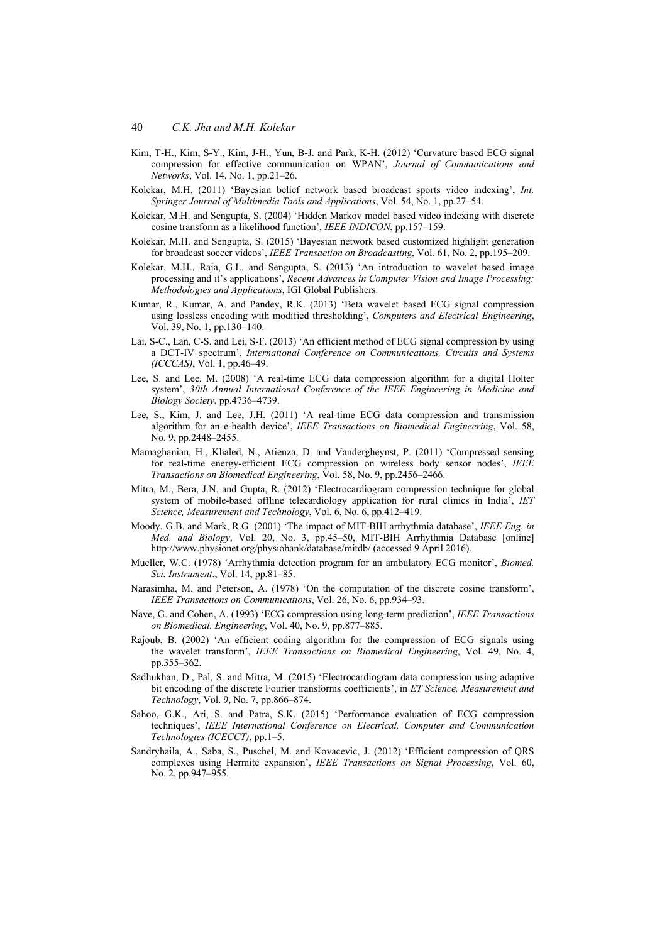- Kim, T-H., Kim, S-Y., Kim, J-H., Yun, B-J. and Park, K-H. (2012) 'Curvature based ECG signal compression for effective communication on WPAN', *Journal of Communications and Networks*, Vol. 14, No. 1, pp.21–26.
- Kolekar, M.H. (2011) 'Bayesian belief network based broadcast sports video indexing', *Int. Springer Journal of Multimedia Tools and Applications*, Vol. 54, No. 1, pp.27–54.
- Kolekar, M.H. and Sengupta, S. (2004) 'Hidden Markov model based video indexing with discrete cosine transform as a likelihood function', *IEEE INDICON*, pp.157–159.
- Kolekar, M.H. and Sengupta, S. (2015) 'Bayesian network based customized highlight generation for broadcast soccer videos', *IEEE Transaction on Broadcasting*, Vol. 61, No. 2, pp.195–209.
- Kolekar, M.H., Raja, G.L. and Sengupta, S. (2013) 'An introduction to wavelet based image processing and it's applications', *Recent Advances in Computer Vision and Image Processing: Methodologies and Applications*, IGI Global Publishers.
- Kumar, R., Kumar, A. and Pandey, R.K. (2013) 'Beta wavelet based ECG signal compression using lossless encoding with modified thresholding', *Computers and Electrical Engineering*, Vol. 39, No. 1, pp.130–140.
- Lai, S-C., Lan, C-S. and Lei, S-F. (2013) 'An efficient method of ECG signal compression by using a DCT-IV spectrum', *International Conference on Communications, Circuits and Systems (ICCCAS)*, Vol. 1, pp.46–49.
- Lee, S. and Lee, M. (2008) 'A real-time ECG data compression algorithm for a digital Holter system', *30th Annual International Conference of the IEEE Engineering in Medicine and Biology Society*, pp.4736–4739.
- Lee, S., Kim, J. and Lee, J.H. (2011) 'A real-time ECG data compression and transmission algorithm for an e-health device', *IEEE Transactions on Biomedical Engineering*, Vol. 58, No. 9, pp.2448–2455.
- Mamaghanian, H., Khaled, N., Atienza, D. and Vandergheynst, P. (2011) 'Compressed sensing for real-time energy-efficient ECG compression on wireless body sensor nodes', *IEEE Transactions on Biomedical Engineering*, Vol. 58, No. 9, pp.2456–2466.
- Mitra, M., Bera, J.N. and Gupta, R. (2012) 'Electrocardiogram compression technique for global system of mobile-based offline telecardiology application for rural clinics in India', *IET Science, Measurement and Technology*, Vol. 6, No. 6, pp.412–419.
- Moody, G.B. and Mark, R.G. (2001) 'The impact of MIT-BIH arrhythmia database', *IEEE Eng. in Med. and Biology*, Vol. 20, No. 3, pp.45–50, MIT-BIH Arrhythmia Database [online] http://www.physionet.org/physiobank/database/mitdb/ (accessed 9 April 2016).
- Mueller, W.C. (1978) 'Arrhythmia detection program for an ambulatory ECG monitor', *Biomed. Sci. Instrument*., Vol. 14, pp.81–85.
- Narasimha, M. and Peterson, A. (1978) 'On the computation of the discrete cosine transform', *IEEE Transactions on Communications*, Vol. 26, No. 6, pp.934–93.
- Nave, G. and Cohen, A. (1993) 'ECG compression using long-term prediction', *IEEE Transactions on Biomedical. Engineering*, Vol. 40, No. 9, pp.877–885.
- Rajoub, B. (2002) 'An efficient coding algorithm for the compression of ECG signals using the wavelet transform', *IEEE Transactions on Biomedical Engineering*, Vol. 49, No. 4, pp.355–362.
- Sadhukhan, D., Pal, S. and Mitra, M. (2015) 'Electrocardiogram data compression using adaptive bit encoding of the discrete Fourier transforms coefficients', in *ET Science, Measurement and Technology*, Vol. 9, No. 7, pp.866–874.
- Sahoo, G.K., Ari, S. and Patra, S.K. (2015) 'Performance evaluation of ECG compression techniques', *IEEE International Conference on Electrical, Computer and Communication Technologies (ICECCT)*, pp.1–5.
- Sandryhaila, A., Saba, S., Puschel, M. and Kovacevic, J. (2012) 'Efficient compression of QRS complexes using Hermite expansion', *IEEE Transactions on Signal Processing*, Vol. 60, No. 2, pp.947–955.